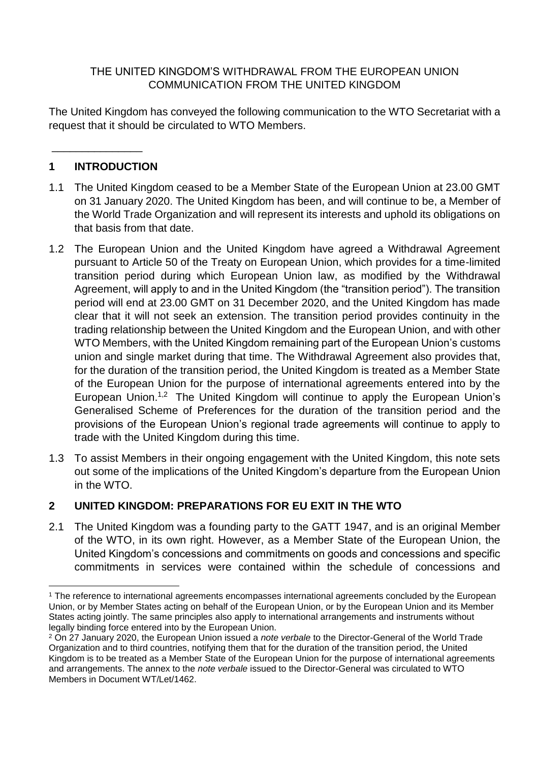## THE UNITED KINGDOM'S WITHDRAWAL FROM THE EUROPEAN UNION COMMUNICATION FROM THE UNITED KINGDOM

The United Kingdom has conveyed the following communication to the WTO Secretariat with a request that it should be circulated to WTO Members.

## **1 INTRODUCTION**

\_\_\_\_\_\_\_\_\_\_\_\_\_\_\_

- 1.1 The United Kingdom ceased to be a Member State of the European Union at 23.00 GMT on 31 January 2020. The United Kingdom has been, and will continue to be, a Member of the World Trade Organization and will represent its interests and uphold its obligations on that basis from that date.
- 1.2 The European Union and the United Kingdom have agreed a Withdrawal Agreement pursuant to Article 50 of the Treaty on European Union, which provides for a time-limited transition period during which European Union law, as modified by the Withdrawal Agreement, will apply to and in the United Kingdom (the "transition period"). The transition period will end at 23.00 GMT on 31 December 2020, and the United Kingdom has made clear that it will not seek an extension. The transition period provides continuity in the trading relationship between the United Kingdom and the European Union, and with other WTO Members, with the United Kingdom remaining part of the European Union's customs union and single market during that time. The Withdrawal Agreement also provides that, for the duration of the transition period, the United Kingdom is treated as a Member State of the European Union for the purpose of international agreements entered into by the European Union.<sup>1,2</sup> The United Kingdom will continue to apply the European Union's Generalised Scheme of Preferences for the duration of the transition period and the provisions of the European Union's regional trade agreements will continue to apply to trade with the United Kingdom during this time.
- 1.3 To assist Members in their ongoing engagement with the United Kingdom, this note sets out some of the implications of the United Kingdom's departure from the European Union in the WTO.

## **2 UNITED KINGDOM: PREPARATIONS FOR EU EXIT IN THE WTO**

2.1 The United Kingdom was a founding party to the GATT 1947, and is an original Member of the WTO, in its own right. However, as a Member State of the European Union, the United Kingdom's concessions and commitments on goods and concessions and specific commitments in services were contained within the schedule of concessions and

<sup>1</sup> <sup>1</sup> The reference to international agreements encompasses international agreements concluded by the European Union, or by Member States acting on behalf of the European Union, or by the European Union and its Member States acting jointly. The same principles also apply to international arrangements and instruments without legally binding force entered into by the European Union.

<sup>2</sup> On 27 January 2020, the European Union issued a *note verbale* to the Director-General of the World Trade Organization and to third countries, notifying them that for the duration of the transition period, the United Kingdom is to be treated as a Member State of the European Union for the purpose of international agreements and arrangements. The annex to the *note verbale* issued to the Director-General was circulated to WTO Members in Document WT/Let/1462.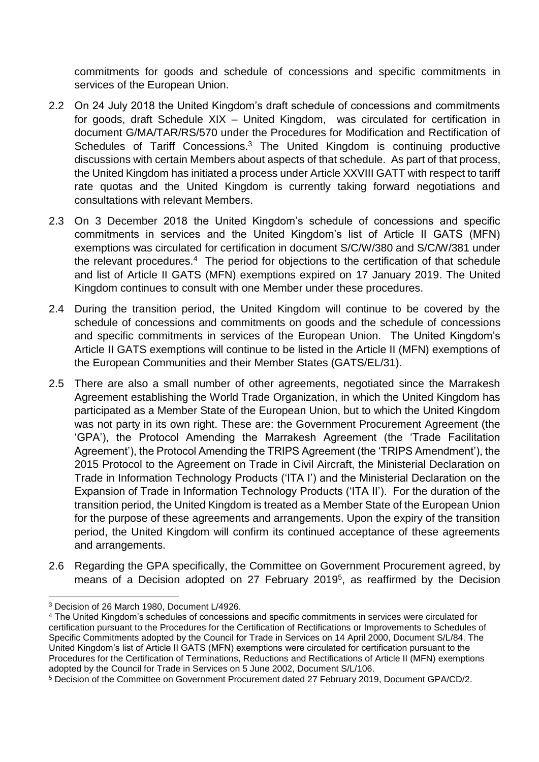commitments for goods and schedule of concessions and specific commitments in services of the European Union.

- 2.2 On 24 July 2018 the United Kingdom's draft schedule of concessions and commitments for goods, draft Schedule XIX – United Kingdom, was circulated for certification in document G/MA/TAR/RS/570 under the Procedures for Modification and Rectification of Schedules of Tariff Concessions.<sup>3</sup> The United Kingdom is continuing productive discussions with certain Members about aspects of that schedule. As part of that process, the United Kingdom has initiated a process under Article XXVIII GATT with respect to tariff rate quotas and the United Kingdom is currently taking forward negotiations and consultations with relevant Members.
- 2.3 On 3 December 2018 the United Kingdom's schedule of concessions and specific commitments in services and the United Kingdom's list of Article II GATS (MFN) exemptions was circulated for certification in document S/C/W/380 and S/C/W/381 under the relevant procedures.<sup>4</sup> The period for objections to the certification of that schedule and list of Article II GATS (MFN) exemptions expired on 17 January 2019. The United Kingdom continues to consult with one Member under these procedures.
- 2.4 During the transition period, the United Kingdom will continue to be covered by the schedule of concessions and commitments on goods and the schedule of concessions and specific commitments in services of the European Union. The United Kingdom's Article II GATS exemptions will continue to be listed in the Article II (MFN) exemptions of the European Communities and their Member States (GATS/EL/31).
- 2.5 There are also a small number of other agreements, negotiated since the Marrakesh Agreement establishing the World Trade Organization, in which the United Kingdom has participated as a Member State of the European Union, but to which the United Kingdom was not party in its own right. These are: the Government Procurement Agreement (the 'GPA'), the Protocol Amending the Marrakesh Agreement (the 'Trade Facilitation Agreement'), the Protocol Amending the TRIPS Agreement (the 'TRIPS Amendment'), the 2015 Protocol to the Agreement on Trade in Civil Aircraft, the Ministerial Declaration on Trade in Information Technology Products ('ITA I') and the Ministerial Declaration on the Expansion of Trade in Information Technology Products ('ITA II'). For the duration of the transition period, the United Kingdom is treated as a Member State of the European Union for the purpose of these agreements and arrangements. Upon the expiry of the transition period, the United Kingdom will confirm its continued acceptance of these agreements and arrangements.
- 2.6 Regarding the GPA specifically, the Committee on Government Procurement agreed, by means of a Decision adopted on 27 February 2019<sup>5</sup>, as reaffirmed by the Decision

<sup>1</sup> <sup>3</sup> Decision of 26 March 1980, Document L/4926.

<sup>4</sup> The United Kingdom's schedules of concessions and specific commitments in services were circulated for certification pursuant to the Procedures for the Certification of Rectifications or Improvements to Schedules of Specific Commitments adopted by the Council for Trade in Services on 14 April 2000, Document S/L/84. The United Kingdom's list of Article II GATS (MFN) exemptions were circulated for certification pursuant to the Procedures for the Certification of Terminations, Reductions and Rectifications of Article II (MFN) exemptions adopted by the Council for Trade in Services on 5 June 2002, Document S/L/106.

<sup>5</sup> Decision of the Committee on Government Procurement dated 27 February 2019, Document GPA/CD/2.